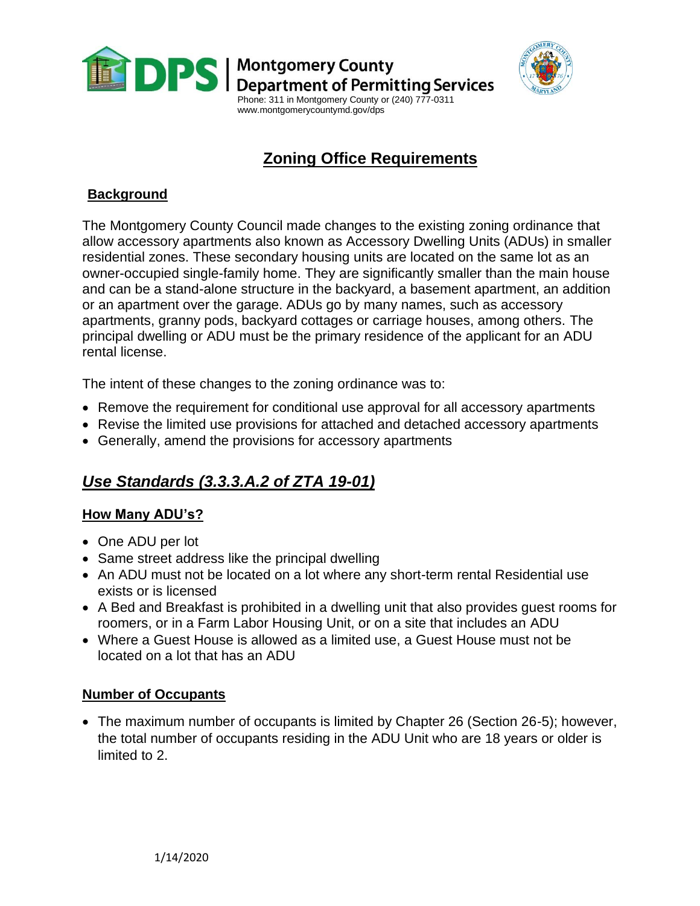

**DPS** | Montgomery County<br>DPS | Department of Permitting Services



 Phone: 311 in Montgomery County or (240) 777-0311 www.montgomerycountymd.gov/dps

# **Zoning Office Requirements**

## **Background**

The Montgomery County Council made changes to the existing zoning ordinance that allow accessory apartments also known as Accessory Dwelling Units (ADUs) in smaller residential zones. These secondary housing units are located on the same lot as an owner-occupied single-family home. They are significantly smaller than the main house and can be a stand-alone structure in the backyard, a basement apartment, an addition or an apartment over the garage. ADUs go by many names, such as accessory apartments, granny pods, backyard cottages or carriage houses, among others. The principal dwelling or ADU must be the primary residence of the applicant for an ADU rental license.

The intent of these changes to the zoning ordinance was to:

- Remove the requirement for conditional use approval for all accessory apartments
- Revise the limited use provisions for attached and detached accessory apartments
- Generally, amend the provisions for accessory apartments

# *Use Standards (3.3.3.A.2 of ZTA 19-01)*

### **How Many ADU's?**

- One ADU per lot
- Same street address like the principal dwelling
- An ADU must not be located on a lot where any short-term rental Residential use exists or is licensed
- A Bed and Breakfast is prohibited in a dwelling unit that also provides guest rooms for roomers, or in a Farm Labor Housing Unit, or on a site that includes an ADU
- Where a Guest House is allowed as a limited use, a Guest House must not be located on a lot that has an ADU

#### **Number of Occupants**

• The maximum number of occupants is limited by Chapter 26 (Section 26-5); however, the total number of occupants residing in the ADU Unit who are 18 years or older is limited to 2.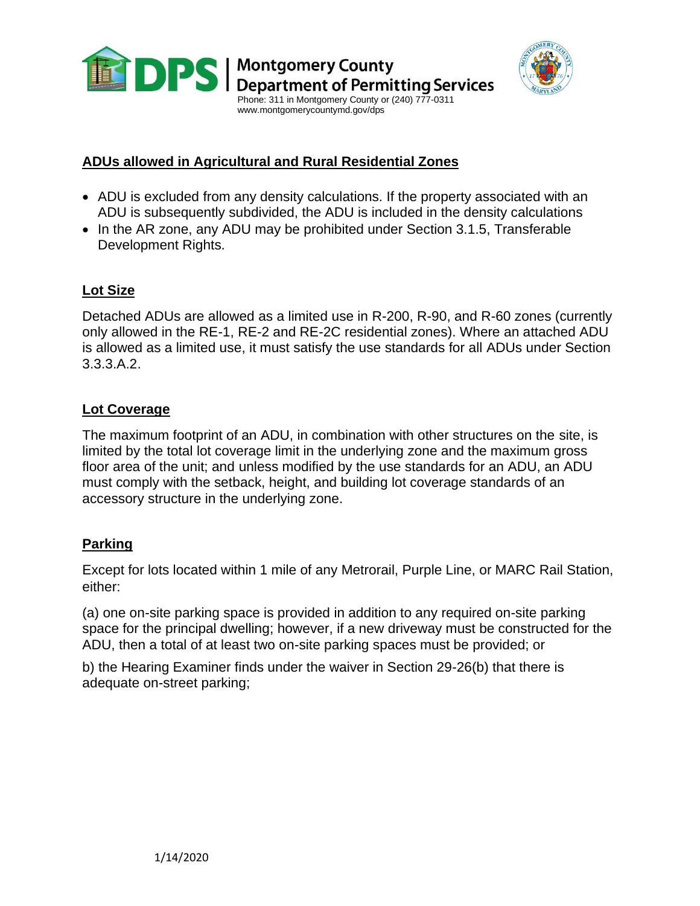



#### **ADUs allowed in Agricultural and Rural Residential Zones**

- ADU is excluded from any density calculations. If the property associated with an ADU is subsequently subdivided, the ADU is included in the density calculations
- In the AR zone, any ADU may be prohibited under Section 3.1.5, Transferable Development Rights.

#### **Lot Size**

Detached ADUs are allowed as a limited use in R-200, R-90, and R-60 zones (currently only allowed in the RE-1, RE-2 and RE-2C residential zones). Where an attached ADU is allowed as a limited use, it must satisfy the use standards for all ADUs under Section 3.3.3.A.2.

### **Lot Coverage**

The maximum footprint of an ADU, in combination with other structures on the site, is limited by the total lot coverage limit in the underlying zone and the maximum gross floor area of the unit; and unless modified by the use standards for an ADU, an ADU must comply with the setback, height, and building lot coverage standards of an accessory structure in the underlying zone.

#### **Parking**

Except for lots located within 1 mile of any Metrorail, Purple Line, or MARC Rail Station, either:

(a) one on-site parking space is provided in addition to any required on-site parking space for the principal dwelling; however, if a new driveway must be constructed for the ADU, then a total of at least two on-site parking spaces must be provided; or

b) the Hearing Examiner finds under the waiver in Section 29-26(b) that there is adequate on-street parking;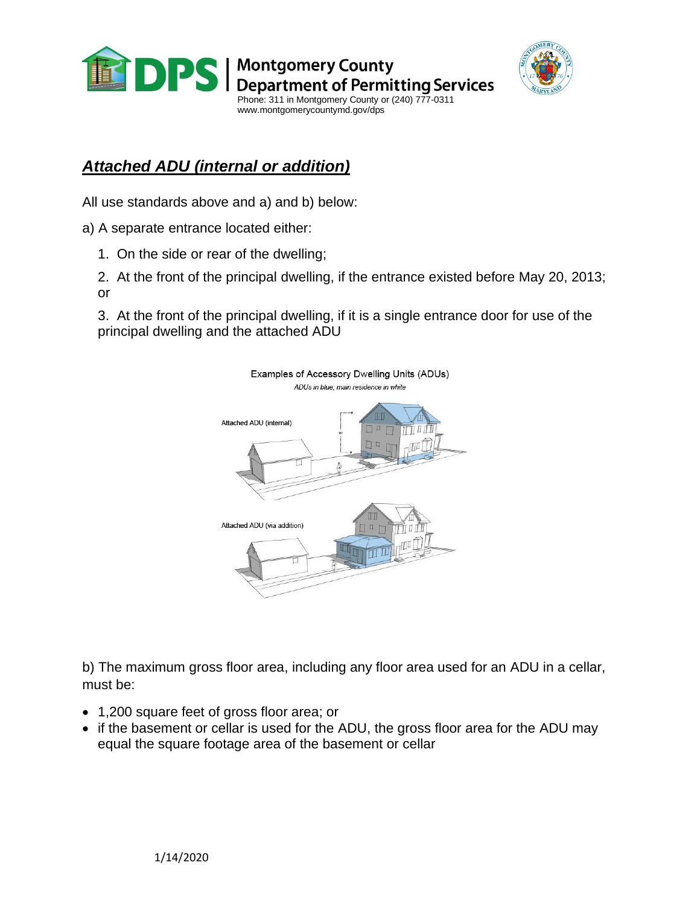



# *Attached ADU (internal or addition)*

All use standards above and a) and b) below:

a) A separate entrance located either:

- 1. On the side or rear of the dwelling;
- 2. At the front of the principal dwelling, if the entrance existed before May 20, 2013; or

3. At the front of the principal dwelling, if it is a single entrance door for use of the principal dwelling and the attached ADU



b) The maximum gross floor area, including any floor area used for an ADU in a cellar, must be:

- 1,200 square feet of gross floor area; or
- if the basement or cellar is used for the ADU, the gross floor area for the ADU may equal the square footage area of the basement or cellar